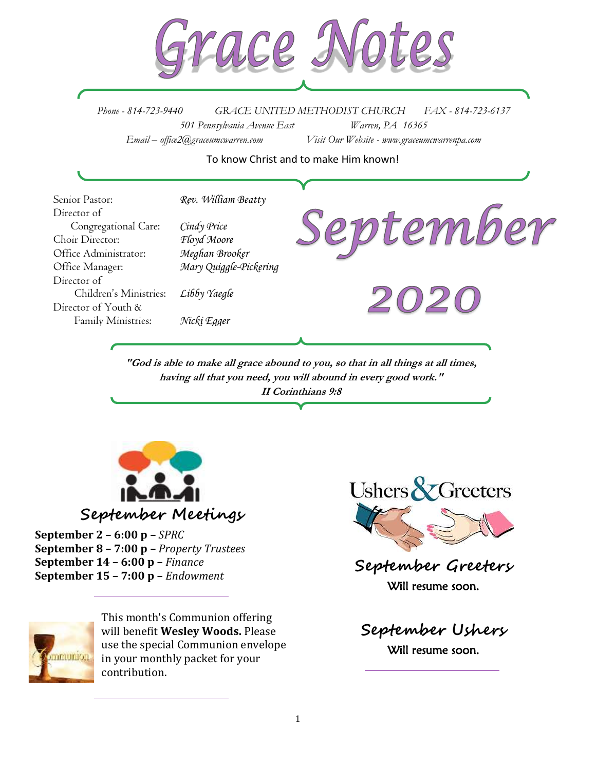

*Phone - 814-723-9440 GRACE UNITED METHODIST CHURCH FAX - 814-723-6137 501 Pennsylvania Avenue East Warren, PA 16365 Email – office2@graceumcwarren.com Visit Our Website - www.graceumcwarrenpa.com* 

#### To know Christ and to make Him known!



**"God is able to make all grace abound to you, so that in all things at all times, having all that you need, you will abound in every good work." II Corinthians 9:8**



**September 2 – 6:00 p –** *SPRC* **September 8 – 7:00 p –** *Property Trustees* **September 14 – 6:00 p –** *Finance* **September 15 – 7:00 p –** *Endowment*



This month's Communion offering will benefit **Wesley Woods.** Please use the special Communion envelope in your monthly packet for your contribution.



**September Greeters** Will resume soon.

**September Ushers** Will resume soon.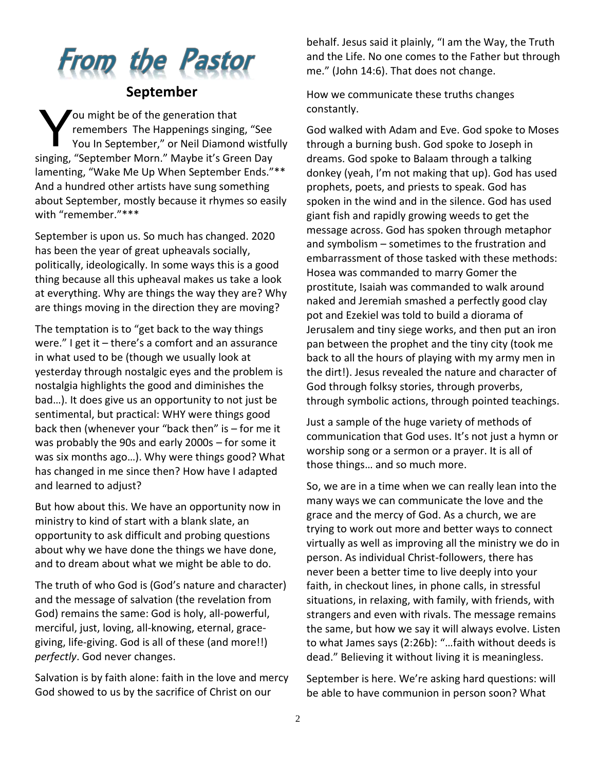# From the Pastor

### **September**

ou might be of the generation that remembers The Happenings singing, "See You In September," or Neil Diamond wistfully singing, "September Morn." Maybe it's Green Day lamenting, "Wake Me Up When September Ends."\*\* And a hundred other artists have sung something about September, mostly because it rhymes so easily with "remember."\*\*\* Y

September is upon us. So much has changed. 2020 has been the year of great upheavals socially, politically, ideologically. In some ways this is a good thing because all this upheaval makes us take a look at everything. Why are things the way they are? Why are things moving in the direction they are moving?

The temptation is to "get back to the way things were." I get it – there's a comfort and an assurance in what used to be (though we usually look at yesterday through nostalgic eyes and the problem is nostalgia highlights the good and diminishes the bad…). It does give us an opportunity to not just be sentimental, but practical: WHY were things good back then (whenever your "back then" is – for me it was probably the 90s and early 2000s – for some it was six months ago…). Why were things good? What has changed in me since then? How have I adapted and learned to adjust?

But how about this. We have an opportunity now in ministry to kind of start with a blank slate, an opportunity to ask difficult and probing questions about why we have done the things we have done, and to dream about what we might be able to do.

The truth of who God is (God's nature and character) and the message of salvation (the revelation from God) remains the same: God is holy, all-powerful, merciful, just, loving, all-knowing, eternal, gracegiving, life-giving. God is all of these (and more!!) *perfectly*. God never changes.

Salvation is by faith alone: faith in the love and mercy God showed to us by the sacrifice of Christ on our

behalf. Jesus said it plainly, "I am the Way, the Truth and the Life. No one comes to the Father but through me." (John 14:6). That does not change.

How we communicate these truths changes constantly.

God walked with Adam and Eve. God spoke to Moses through a burning bush. God spoke to Joseph in dreams. God spoke to Balaam through a talking donkey (yeah, I'm not making that up). God has used prophets, poets, and priests to speak. God has spoken in the wind and in the silence. God has used giant fish and rapidly growing weeds to get the message across. God has spoken through metaphor and symbolism – sometimes to the frustration and embarrassment of those tasked with these methods: Hosea was commanded to marry Gomer the prostitute, Isaiah was commanded to walk around naked and Jeremiah smashed a perfectly good clay pot and Ezekiel was told to build a diorama of Jerusalem and tiny siege works, and then put an iron pan between the prophet and the tiny city (took me back to all the hours of playing with my army men in the dirt!). Jesus revealed the nature and character of God through folksy stories, through proverbs, through symbolic actions, through pointed teachings.

Just a sample of the huge variety of methods of communication that God uses. It's not just a hymn or worship song or a sermon or a prayer. It is all of those things… and so much more.

So, we are in a time when we can really lean into the many ways we can communicate the love and the grace and the mercy of God. As a church, we are trying to work out more and better ways to connect virtually as well as improving all the ministry we do in person. As individual Christ-followers, there has never been a better time to live deeply into your faith, in checkout lines, in phone calls, in stressful situations, in relaxing, with family, with friends, with strangers and even with rivals. The message remains the same, but how we say it will always evolve. Listen to what James says (2:26b): "…faith without deeds is dead." Believing it without living it is meaningless.

September is here. We're asking hard questions: will be able to have communion in person soon? What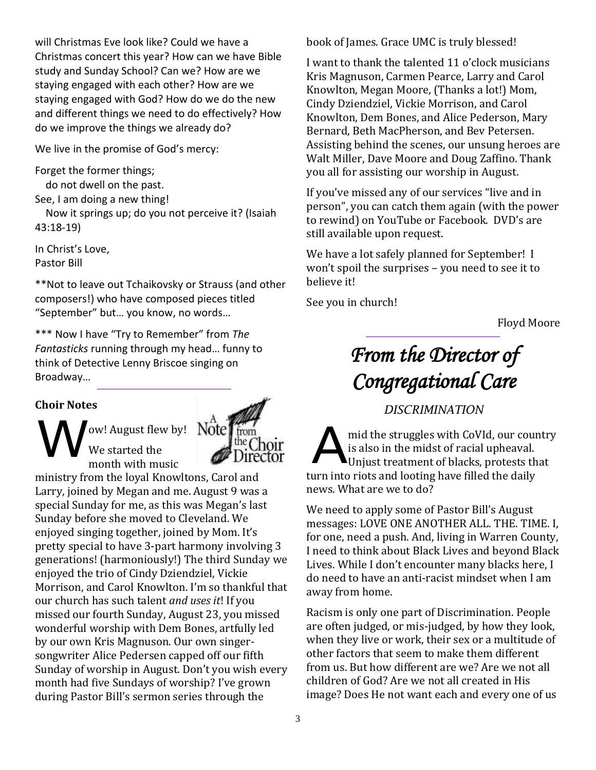will Christmas Eve look like? Could we have a Christmas concert this year? How can we have Bible study and Sunday School? Can we? How are we staying engaged with each other? How are we staying engaged with God? How do we do the new and different things we need to do effectively? How do we improve the things we already do?

We live in the promise of God's mercy:

Forget the former things;

do not dwell on the past.

See, I am doing a new thing!

 Now it springs up; do you not perceive it? (Isaiah 43:18-19)

In Christ's Love, Pastor Bill

\*\*Not to leave out Tchaikovsky or Strauss (and other composers!) who have composed pieces titled "September" but… you know, no words…

\*\*\* Now I have "Try to Remember" from *The Fantasticks* running through my head… funny to think of Detective Lenny Briscoe singing on Broadway…

#### **Choir Notes**

ow! August flew by! We started the month with music We started the Mote The Choir



ministry from the loyal Knowltons, Carol and Larry, joined by Megan and me. August 9 was a special Sunday for me, as this was Megan's last Sunday before she moved to Cleveland. We enjoyed singing together, joined by Mom. It's pretty special to have 3-part harmony involving 3 generations! (harmoniously!) The third Sunday we enjoyed the trio of Cindy Dziendziel, Vickie Morrison, and Carol Knowlton. I'm so thankful that our church has such talent *and uses it*! If you missed our fourth Sunday, August 23, you missed wonderful worship with Dem Bones, artfully led by our own Kris Magnuson. Our own singersongwriter Alice Pedersen capped off our fifth Sunday of worship in August. Don't you wish every month had five Sundays of worship? I've grown during Pastor Bill's sermon series through the

book of James. Grace UMC is truly blessed!

I want to thank the talented 11 o'clock musicians Kris Magnuson, Carmen Pearce, Larry and Carol Knowlton, Megan Moore, (Thanks a lot!) Mom, Cindy Dziendziel, Vickie Morrison, and Carol Knowlton, Dem Bones, and Alice Pederson, Mary Bernard, Beth MacPherson, and Bev Petersen. Assisting behind the scenes, our unsung heroes are Walt Miller, Dave Moore and Doug Zaffino. Thank you all for assisting our worship in August.

If you've missed any of our services "live and in person", you can catch them again (with the power to rewind) on YouTube or Facebook. DVD's are still available upon request.

We have a lot safely planned for September! I won't spoil the surprises – you need to see it to believe it!

See you in church!

Floyd Moore

# *From the Director of Congregational Care*

# *DISCRIMINATION*

mid the struggles with CoVId, our country is also in the midst of racial upheaval. Unjust treatment of blacks, protests that turn into riots and looting have filled the daily news. What are we to do?

We need to apply some of Pastor Bill's August messages: LOVE ONE ANOTHER ALL. THE. TIME. I, for one, need a push. And, living in Warren County, I need to think about Black Lives and beyond Black Lives. While I don't encounter many blacks here, I do need to have an anti-racist mindset when I am away from home.

Racism is only one part of Discrimination. People are often judged, or mis-judged, by how they look, when they live or work, their sex or a multitude of other factors that seem to make them different from us. But how different are we? Are we not all children of God? Are we not all created in His image? Does He not want each and every one of us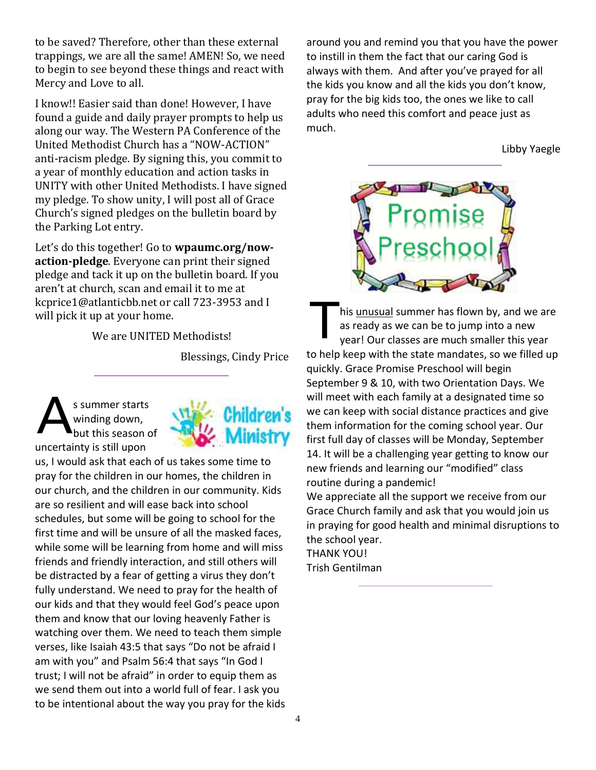to be saved? Therefore, other than these external trappings, we are all the same! AMEN! So, we need to begin to see beyond these things and react with Mercy and Love to all.

I know!! Easier said than done! However, I have found a guide and daily prayer prompts to help us along our way. The Western PA Conference of the United Methodist Church has a "NOW-ACTION" anti-racism pledge. By signing this, you commit to a year of monthly education and action tasks in UNITY with other United Methodists. I have signed my pledge. To show unity, I will post all of Grace Church's signed pledges on the bulletin board by the Parking Lot entry.

Let's do this together! Go to **wpaumc.org/nowaction-pledge**. Everyone can print their signed pledge and tack it up on the bulletin board. If you aren't at church, scan and email it to me at kcprice1@atlanticbb.net or call 723-3953 and I will pick it up at your home.

We are UNITED Methodists!

Blessings, Cindy Price

s summer starts winding down, but this season of uncertainty is still upon A



us, I would ask that each of us takes some time to pray for the children in our homes, the children in our church, and the children in our community. Kids are so resilient and will ease back into school schedules, but some will be going to school for the first time and will be unsure of all the masked faces, while some will be learning from home and will miss friends and friendly interaction, and still others will be distracted by a fear of getting a virus they don't fully understand. We need to pray for the health of our kids and that they would feel God's peace upon them and know that our loving heavenly Father is watching over them. We need to teach them simple verses, like Isaiah 43:5 that says "Do not be afraid I am with you" and Psalm 56:4 that says "In God I trust; I will not be afraid" in order to equip them as we send them out into a world full of fear. I ask you to be intentional about the way you pray for the kids around you and remind you that you have the power to instill in them the fact that our caring God is always with them. And after you've prayed for all the kids you know and all the kids you don't know, pray for the big kids too, the ones we like to call adults who need this comfort and peace just as much.

Libby Yaegle



his unusual summer has flown by, and we are as ready as we can be to jump into a new year! Our classes are much smaller this year to help keep with the state mandates, so we filled up quickly. Grace Promise Preschool will begin September 9 & 10, with two Orientation Days. We will meet with each family at a designated time so we can keep with social distance practices and give them information for the coming school year. Our first full day of classes will be Monday, September 14. It will be a challenging year getting to know our new friends and learning our "modified" class routine during a pandemic! T

We appreciate all the support we receive from our Grace Church family and ask that you would join us in praying for good health and minimal disruptions to the school year.

THANK YOU! Trish Gentilman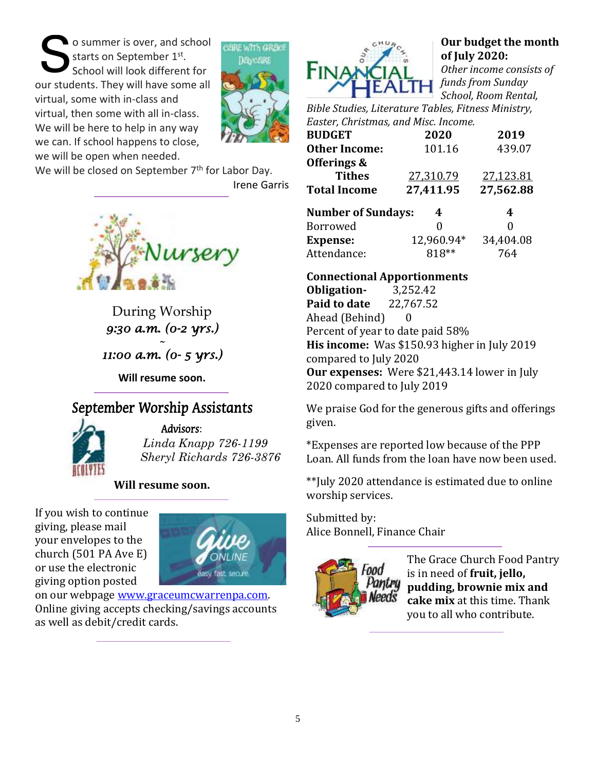o summer is over, and school starts on September 1st. School will look different for our students. They will have some all virtual, some with in-class and virtual, then some with all in-class. We will be here to help in any way we can. If school happens to close, we will be open when needed. S



We will be closed on September 7<sup>th</sup> for Labor Day.

Irene Garris



During Worship *9:30 a.m. (0-2 yrs.) ~* 

*11:00 a.m. (0- 5 yrs.)* 

**Will resume soon.**

# September Worship Assistants



Advisors: *Linda Knapp 726-1199*

*Sheryl Richards 726-3876*

**Will resume soon.**

If you wish to continue giving, please mail your envelopes to the church (501 PA Ave E) or use the electronic giving option posted



on our webpage [www.graceumcwarrenpa.com.](http://www.graceumcwarrenpa.com/)  Online giving accepts checking/savings accounts as well as debit/credit cards.



### **Our budget the month of July 2020:**

*Other income consists of funds from Sunday School, Room Rental,* 

*Bible Studies, Literature Tables, Fitness Ministry, Easter, Christmas, and Misc. Income.*

| <b>BUDGET</b>             | 2020       | 2019      |
|---------------------------|------------|-----------|
| <b>Other Income:</b>      | 101.16     | 439.07    |
| Offerings &               |            |           |
| <b>Tithes</b>             | 27,310.79  | 27,123.81 |
| <b>Total Income</b>       | 27,411.95  | 27,562.88 |
| <b>Number of Sundays:</b> | 4          | 4         |
| Borrowed                  | 0          | 0         |
| <b>Expense:</b>           | 12,960.94* | 34,404.08 |
| Attendance:               | 818**      | 764       |

### **Connectional Apportionments**

**Obligation-** 3,252.42 **Paid to date** 22,767.52 Ahead (Behind) 0 Percent of year to date paid 58% **His income:** Was \$150.93 higher in July 2019 compared to July 2020 **Our expenses:** Were \$21,443.14 lower in July 2020 compared to July 2019

We praise God for the generous gifts and offerings given.

\*Expenses are reported low because of the PPP Loan. All funds from the loan have now been used.

\*\*July 2020 attendance is estimated due to online worship services.

Submitted by: Alice Bonnell, Finance Chair



The Grace Church Food Pantry is in need of **fruit, jello, pudding, brownie mix and cake mix** at this time. Thank you to all who contribute.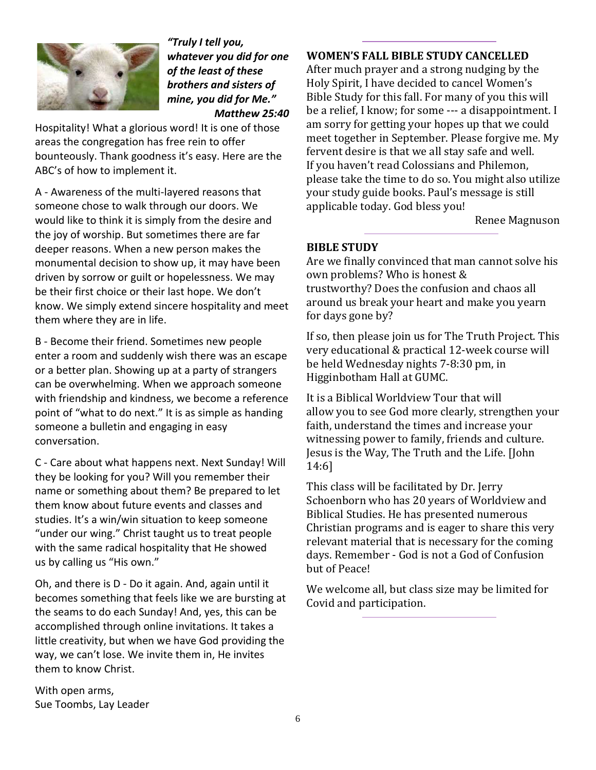

*"Truly I tell you, whatever you did for one of the least of these brothers and sisters of mine, you did for Me." Matthew 25:40*

Hospitality! What a glorious word! It is one of those areas the congregation has free rein to offer bounteously. Thank goodness it's easy. Here are the ABC's of how to implement it.

A - Awareness of the multi-layered reasons that someone chose to walk through our doors. We would like to think it is simply from the desire and the joy of worship. But sometimes there are far deeper reasons. When a new person makes the monumental decision to show up, it may have been driven by sorrow or guilt or hopelessness. We may be their first choice or their last hope. We don't know. We simply extend sincere hospitality and meet them where they are in life.

B - Become their friend. Sometimes new people enter a room and suddenly wish there was an escape or a better plan. Showing up at a party of strangers can be overwhelming. When we approach someone with friendship and kindness, we become a reference point of "what to do next." It is as simple as handing someone a bulletin and engaging in easy conversation.

C - Care about what happens next. Next Sunday! Will they be looking for you? Will you remember their name or something about them? Be prepared to let them know about future events and classes and studies. It's a win/win situation to keep someone "under our wing." Christ taught us to treat people with the same radical hospitality that He showed us by calling us "His own."

Oh, and there is D - Do it again. And, again until it becomes something that feels like we are bursting at the seams to do each Sunday! And, yes, this can be accomplished through online invitations. It takes a little creativity, but when we have God providing the way, we can't lose. We invite them in, He invites them to know Christ.

With open arms, Sue Toombs, Lay Leader

#### **WOMEN'S FALL BIBLE STUDY CANCELLED**

After much prayer and a strong nudging by the Holy Spirit, I have decided to cancel Women's Bible Study for this fall. For many of you this will be a relief, I know; for some --- a disappointment. I am sorry for getting your hopes up that we could meet together in September. Please forgive me. My fervent desire is that we all stay safe and well. If you haven't read Colossians and Philemon, please take the time to do so. You might also utilize your study guide books. Paul's message is still applicable today. God bless you!

Renee Magnuson

#### **BIBLE STUDY**

Are we finally convinced that man cannot solve his own problems? Who is honest & trustworthy? Does the confusion and chaos all around us break your heart and make you yearn for days gone by?

If so, then please join us for The Truth Project. This very educational & practical 12-week course will be held Wednesday nights 7-8:30 pm, in Higginbotham Hall at GUMC.

It is a Biblical Worldview Tour that will allow you to see God more clearly, strengthen your faith, understand the times and increase your witnessing power to family, friends and culture. Jesus is the Way, The Truth and the Life. [John 14:6]

This class will be facilitated by Dr. Jerry Schoenborn who has 20 years of Worldview and Biblical Studies. He has presented numerous Christian programs and is eager to share this very relevant material that is necessary for the coming days. Remember - God is not a God of Confusion but of Peace!

We welcome all, but class size may be limited for Covid and participation.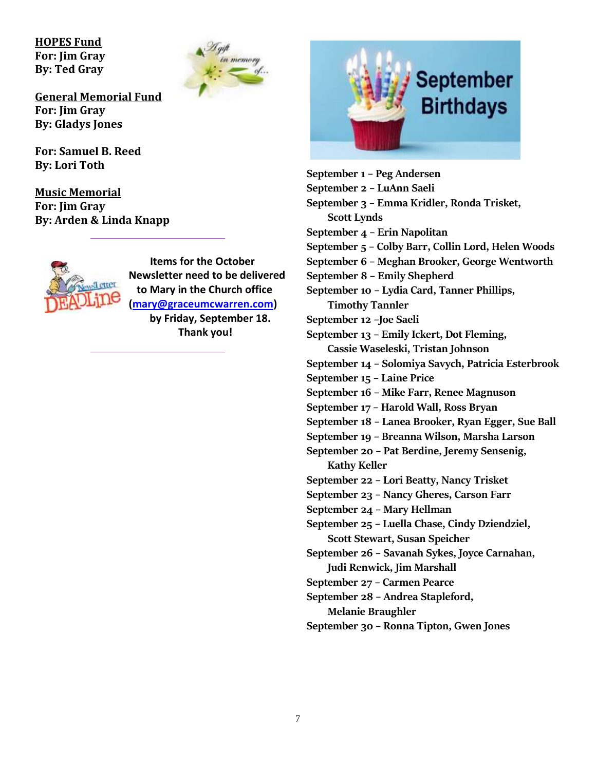**HOPES Fund For: Jim Gray By: Ted Gray**



**General Memorial Fund For: Jim Gray By: Gladys Jones**

**For: Samuel B. Reed By: Lori Toth**

**Music Memorial For: Jim Gray By: Arden & Linda Knapp**



 **Items for the October Newsletter need to be delivered to Mary in the Church office [\(mary@graceumcwarren.com\)](mailto:mary@graceumcwarren.com)**

**by Friday, September 18. Thank you!**



**September 2 – LuAnn Saeli September 3 – Emma Kridler, Ronda Trisket, Scott Lynds September 4 – Erin Napolitan September 5 – Colby Barr, Collin Lord, Helen Woods September 6 – Meghan Brooker, George Wentworth September 8 – Emily Shepherd September 10 – Lydia Card, Tanner Phillips,** 

**Timothy Tannler**

**September 1 – Peg Andersen**

**September 12 –Joe Saeli**

**September 13 – Emily Ickert, Dot Fleming, Cassie Waseleski, Tristan Johnson**

- **September 14 – Solomiya Savych, Patricia Esterbrook**
- **September 15 – Laine Price**
- **September 16 – Mike Farr, Renee Magnuson**
- **September 17 – Harold Wall, Ross Bryan**
- **September 18 – Lanea Brooker, Ryan Egger, Sue Ball**
- **September 19 – Breanna Wilson, Marsha Larson**

**September 20 – Pat Berdine, Jeremy Sensenig, Kathy Keller**

- **September 22 – Lori Beatty, Nancy Trisket**
- **September 23 – Nancy Gheres, Carson Farr**
- **September 24 – Mary Hellman**
- **September 25 – Luella Chase, Cindy Dziendziel, Scott Stewart, Susan Speicher**
- **September 26 – Savanah Sykes, Joyce Carnahan, Judi Renwick, Jim Marshall**
- **September 27 – Carmen Pearce**
- **September 28 – Andrea Stapleford,**

**Melanie Braughler**

**September 30 – Ronna Tipton, Gwen Jones**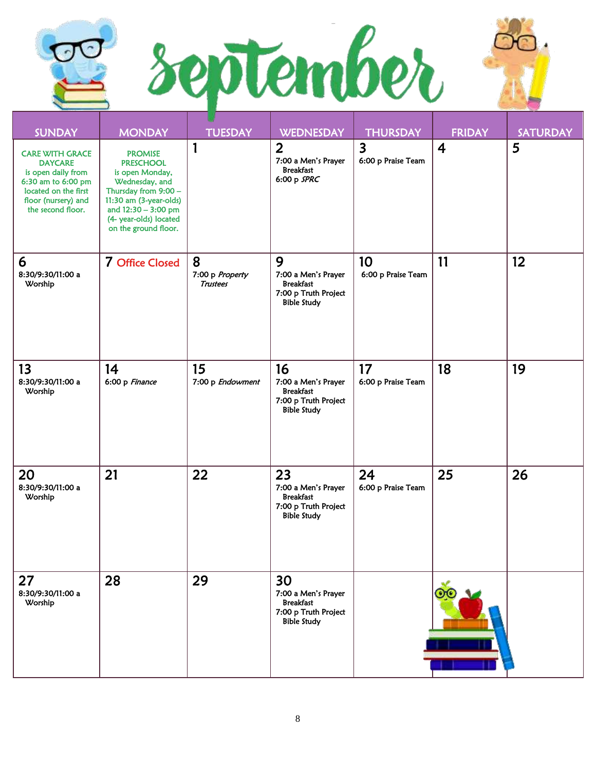



| <b>SUNDAY</b>                                                                                                                                            | <b>MONDAY</b>                                                                                                                                                                                      | <b>TUESDAY</b>                          | <b>WEDNESDAY</b>                                                                            | <b>THURSDAY</b>                               | <b>FRIDAY</b>  | <b>SATURDAY</b> |
|----------------------------------------------------------------------------------------------------------------------------------------------------------|----------------------------------------------------------------------------------------------------------------------------------------------------------------------------------------------------|-----------------------------------------|---------------------------------------------------------------------------------------------|-----------------------------------------------|----------------|-----------------|
| <b>CARE WITH GRACE</b><br><b>DAYCARE</b><br>is open daily from<br>6:30 am to 6:00 pm<br>located on the first<br>floor (nursery) and<br>the second floor. | <b>PROMISE</b><br><b>PRESCHOOL</b><br>is open Monday,<br>Wednesday, and<br>Thursday from 9:00 -<br>11:30 am (3-year-olds)<br>and 12:30 - 3:00 pm<br>(4- year-olds) located<br>on the ground floor. | 1                                       | $\overline{2}$<br>7:00 a Men's Prayer<br><b>Breakfast</b><br>6:00 p $SPRC$                  | $\overline{\mathbf{3}}$<br>6:00 p Praise Team | $\overline{4}$ | 5               |
| 6<br>8:30/9:30/11:00 a<br>Worship                                                                                                                        | 7 Office Closed                                                                                                                                                                                    | 8<br>7:00 p Property<br><b>Trustees</b> | 9<br>7:00 a Men's Prayer<br><b>Breakfast</b><br>7:00 p Truth Project<br><b>Bible Study</b>  | 10<br>6:00 p Praise Team                      | 11             | 12              |
| 13<br>8:30/9:30/11:00 a<br>Worship                                                                                                                       | 14<br>6:00 p Finance                                                                                                                                                                               | 15<br>7:00 p Endowment                  | 16<br>7:00 a Men's Prayer<br><b>Breakfast</b><br>7:00 p Truth Project<br><b>Bible Study</b> | 17<br>6:00 p Praise Team                      | 18             | 19              |
| 20<br>8:30/9:30/11:00 a<br>Worship                                                                                                                       | 21                                                                                                                                                                                                 | 22                                      | 23<br>7:00 a Men's Prayer<br><b>Breakfast</b><br>7:00 p Truth Project<br><b>Bible Study</b> | 24<br>6:00 p Praise Team                      | 25             | 26              |
| 27<br>8:30/9:30/11:00 a<br>Worship                                                                                                                       | 28                                                                                                                                                                                                 | 29                                      | 30<br>7:00 a Men's Prayer<br><b>Breakfast</b><br>7:00 p Truth Project<br><b>Bible Study</b> |                                               |                |                 |